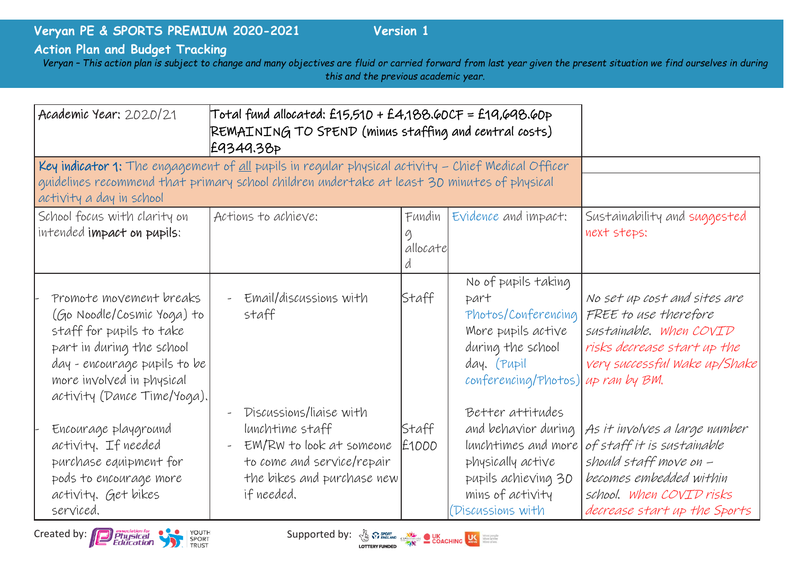## **Veryan PE & SPORTS PREMIUM 2020-2021 Version 1**

## **Action Plan and Budget Tracking**

*Veryan – This action plan is subject to change and many objectives are fluid or carried forward from last year given the present situation we find ourselves in during this and the previous academic year.*

| Academic Year: 2020/21                                                                                                                                                                                                               | Total fund allocated: £15,510 + £4,188.60CF = £19,698.60p<br>REMAINING TO SPEND (minus staffing and central costs)<br>£9349.38P                  |                         |                                                                                                                                                    |                                                                                                                                                                              |
|--------------------------------------------------------------------------------------------------------------------------------------------------------------------------------------------------------------------------------------|--------------------------------------------------------------------------------------------------------------------------------------------------|-------------------------|----------------------------------------------------------------------------------------------------------------------------------------------------|------------------------------------------------------------------------------------------------------------------------------------------------------------------------------|
| Key indicator 1: The engagement of <u>all</u> pupils in regular physical activity – Chief Medical Officer<br>guidelines recommend that primary school children undertake at least 30 minutes of physical<br>activity a day in school |                                                                                                                                                  |                         |                                                                                                                                                    |                                                                                                                                                                              |
| School focus with clarity on<br>intended impact on pupils:                                                                                                                                                                           | Actions to achieve:                                                                                                                              | Fundin<br>g<br>allocate | Evidence and impact:                                                                                                                               | Sustainability and suggested<br>next steps:                                                                                                                                  |
| Promote movement breaks<br>(Go Noodle/Cosmic Yoga) to<br>staff for pupils to take<br>part in during the school<br>day - encourage pupils to be<br>more involved in physical<br>activity (Dance Time/Yoga).                           | Email/discussions with<br>staff                                                                                                                  | Staff                   | No of pupils taking<br>part<br>More pupils active<br>during the school<br>day. (Pupil<br>conferencing/Photos) up ran by BM.                        | No set up cost and sites are<br>Photos/Conferencing FREE to use therefore<br>sustainable. When COVID<br>risks decrease start up the<br>very successful Wake up/Shake         |
| Encourage playground<br>activity. If needed<br>purchase equipment for<br>pods to encourage more<br>activity. Get bikes<br>serviced.                                                                                                  | Discussions/liaise with<br>lunchtime staff<br>EM/RW to look at someone<br>to come and service/repair<br>the bikes and purchase new<br>if needed. | Staff<br>£1000          | Better attitudes<br>and behavior during<br>lunchtimes and more<br>physically active<br>pupils achieving 30<br>mins of activity<br>Discussions with | As it involves a large number<br>of staff it is sustainable<br>should staff move on -<br>becomes embedded within<br>school. When COVID risks<br>decrease start up the Sports |



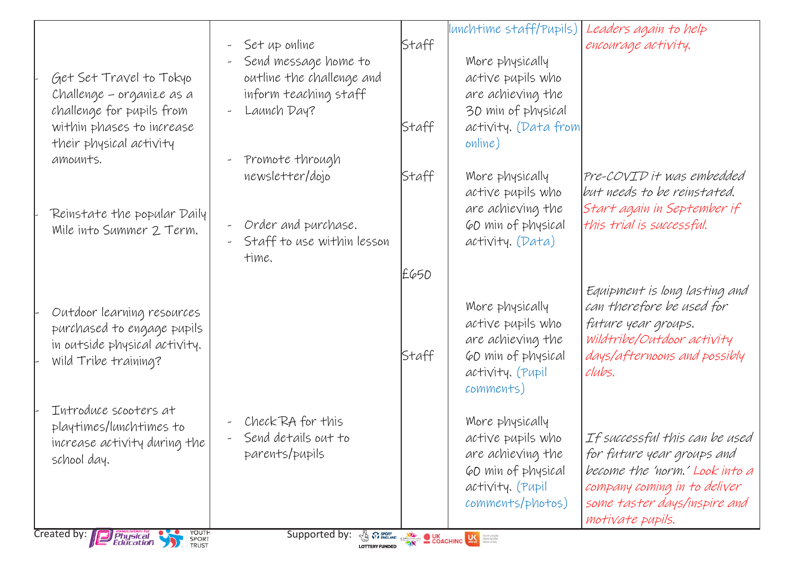|                                                                                   |                                           |       | lunchtime staff/Pupils)                                                                                                                                                                                                              | Leaders again to help          |
|-----------------------------------------------------------------------------------|-------------------------------------------|-------|--------------------------------------------------------------------------------------------------------------------------------------------------------------------------------------------------------------------------------------|--------------------------------|
|                                                                                   | Set up online<br>$\overline{\phantom{a}}$ | Staff |                                                                                                                                                                                                                                      | encourage activity.            |
|                                                                                   | Send message home to                      |       | More physically                                                                                                                                                                                                                      |                                |
| Get Set Travel to Tokyo                                                           | outline the challenge and                 |       | active pupils who                                                                                                                                                                                                                    |                                |
| Challenge – organize as a                                                         | inform teaching staff                     |       | are achieving the                                                                                                                                                                                                                    |                                |
| challenge for pupils from                                                         | Launch Day?<br>$\overline{\phantom{a}}$   |       | 30 min of physical                                                                                                                                                                                                                   |                                |
| within phases to increase                                                         |                                           | Staff | activity. (Data from                                                                                                                                                                                                                 |                                |
| their physical activity                                                           |                                           |       | online)                                                                                                                                                                                                                              |                                |
| amounts.                                                                          | Promote through                           |       |                                                                                                                                                                                                                                      |                                |
|                                                                                   | newsletter/dojo                           | Staff | More physically                                                                                                                                                                                                                      | Pre-COVID it was embedded      |
|                                                                                   |                                           |       | active pupils who                                                                                                                                                                                                                    | but needs to be reinstated.    |
| Reinstate the popular Daily                                                       |                                           |       | are achieving the                                                                                                                                                                                                                    | Start again in September if    |
| Mile into Summer 2 Term.                                                          | Order and purchase.                       |       | 60 min of physical                                                                                                                                                                                                                   | this trial is successful.      |
|                                                                                   | Staff to use within lesson                |       | activity. (Data)                                                                                                                                                                                                                     |                                |
|                                                                                   | time.                                     |       |                                                                                                                                                                                                                                      |                                |
|                                                                                   |                                           | £650  |                                                                                                                                                                                                                                      |                                |
|                                                                                   |                                           |       |                                                                                                                                                                                                                                      | Equipment is long lasting and  |
| Outdoor learning resources                                                        |                                           |       | More physically                                                                                                                                                                                                                      | can therefore be used for      |
| purchased to engage pupils                                                        |                                           |       | active pupils who                                                                                                                                                                                                                    | future year groups.            |
| in outside physical activity.                                                     |                                           |       | are achieving the                                                                                                                                                                                                                    | Wildtribe/Outdoor activity     |
| Wild Tribe training?                                                              |                                           | Staff | 60 min of physical                                                                                                                                                                                                                   | days/afternoons and possibly   |
|                                                                                   |                                           |       | activity. (Pupil                                                                                                                                                                                                                     | clubs.                         |
|                                                                                   |                                           |       | comments)                                                                                                                                                                                                                            |                                |
| Introduce scooters at                                                             |                                           |       |                                                                                                                                                                                                                                      |                                |
| playtimes/lunchtimes to                                                           | Check RA for this                         |       | More physically                                                                                                                                                                                                                      |                                |
| increase activity during the                                                      | Send details out to                       |       | active pupils who                                                                                                                                                                                                                    | If successful this can be used |
| school day.                                                                       | parents/pupils                            |       | are achieving the                                                                                                                                                                                                                    | for future year groups and     |
|                                                                                   |                                           |       | 60 min of physical                                                                                                                                                                                                                   | become the 'norm.' Look into a |
|                                                                                   |                                           |       | activity. (Pupil                                                                                                                                                                                                                     | company coming in to deliver   |
|                                                                                   |                                           |       | comments/photos)                                                                                                                                                                                                                     | some taster days/inspire and   |
|                                                                                   |                                           |       |                                                                                                                                                                                                                                      | motivate pupils.               |
| YOUTH<br>SPORT<br>TRUST<br>Created by: $\sqrt{ }$<br><b>Physical</b><br>Education | Supported by:<br><b>LOTTERY FUNDED</b>    |       | <b>THE REPORT OF SPORT CONCRETE DESCRIPTION OF A SECOND PROPERTY OF A SECOND DESCRIPTION OF A SECOND DESCRIPTION OF A SECOND DESCRIPTION OF A SECOND DESCRIPTION OF A SECOND DESCRIPTION OF A SECOND DESCRIPTION OF A SECOND DES</b> |                                |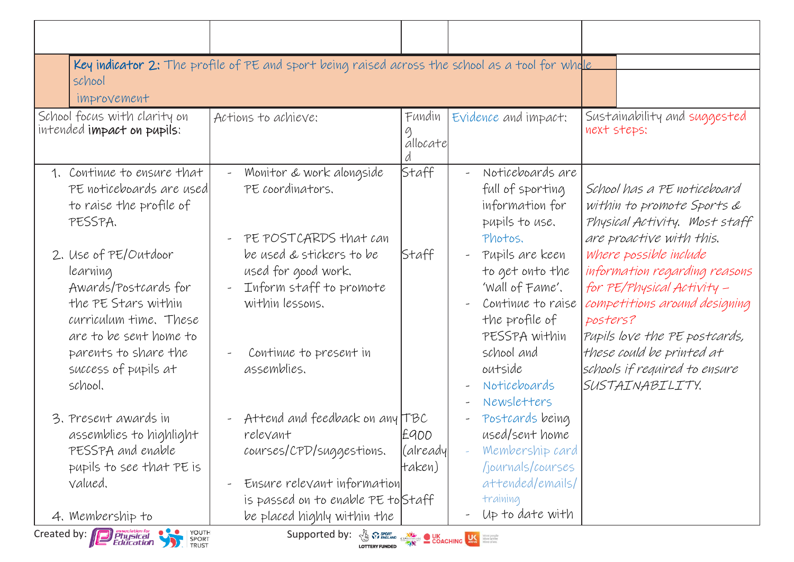| Key indicator 2: The profile of PE and sport being raised across the school as a tool for whole<br>school<br>improvement                                                                                                                                     |                                                                                                  |                             |                                                                                                                                                            |                                                                                                                                                                     |  |  |
|--------------------------------------------------------------------------------------------------------------------------------------------------------------------------------------------------------------------------------------------------------------|--------------------------------------------------------------------------------------------------|-----------------------------|------------------------------------------------------------------------------------------------------------------------------------------------------------|---------------------------------------------------------------------------------------------------------------------------------------------------------------------|--|--|
| School focus with clarity on<br>intended impact on pupils:                                                                                                                                                                                                   | Actions to achieve:                                                                              | Fundin<br>allocate          | Evidence and impact:                                                                                                                                       | Sustainability and suggested<br>next steps:                                                                                                                         |  |  |
| 1. Continue to ensure that<br>PE noticeboards are used<br>to raise the profile of<br>PESSPA.                                                                                                                                                                 | Monitor & work alongside<br>PE coordinators.<br>PE POSTCARDS that can                            | Staff                       | Noticeboards are<br>$\rightarrow$<br>full of sporting<br>information for<br>pupils to use.<br>Photos.                                                      | School has a PE noticeboard<br>within to promote Sports &<br>Physical Activity. Most staff<br>are proactive with this.                                              |  |  |
| 2. Use of PE/Outdoor<br>learning<br>Awards/Postcards for<br>the PE Stars within<br>curriculum time, These<br>are to be sent home to                                                                                                                          | be used & stickers to be<br>used for good work.<br>Inform staff to promote<br>within lessons.    | Staff                       | Pupils are keen<br>$\overline{\phantom{a}}$<br>to get onto the<br>'Wall of Fame'.<br>Continue to raise<br>$\rightarrow$<br>the profile of<br>PESSPA within | where possible include<br>information regarding reasons<br>for PE/Physical Activity -<br>competitions around designing<br>posters?<br>Pupils love the PE postcards, |  |  |
| parents to share the<br>success of pupils at<br>school.                                                                                                                                                                                                      | Continue to present in<br>assemblies.                                                            |                             | school and<br>outside<br>Noticeboards<br>$\overline{\phantom{m}}$<br>Newsletters<br>$\overline{\phantom{a}}$                                               | these could be printed at<br>schools if required to ensure<br>SUSTAINABILITY.                                                                                       |  |  |
| 3. Present awards in<br>assemblies to highlight<br>PESSPA and enable<br>pupils to see that PE is                                                                                                                                                             | Attend and feedback on any TBC<br>relevant<br>courses/CPD/suggestions.                           | £900<br>(alreadyl<br>taken) | Postcards being<br>$\overline{\phantom{a}}$<br>used/sent home<br>Membership card<br>journals/courses                                                       |                                                                                                                                                                     |  |  |
| valued.<br>4. Membership to                                                                                                                                                                                                                                  | Ensure relevant information<br>is passed on to enable PE to Staff<br>be placed highly within the |                             | attended/emails/<br>training<br>Up to date with                                                                                                            |                                                                                                                                                                     |  |  |
| YOUTH<br>Created by: Physical<br>Education<br>Supported by: $\frac{1}{\sqrt{6}}$ $\frac{1}{\sqrt{6}}$ $\frac{1}{\sqrt{6}}$ $\frac{1}{\sqrt{6}}$ $\frac{1}{\sqrt{6}}$ $\frac{1}{\sqrt{6}}$ $\frac{1}{\sqrt{6}}$ $\frac{1}{\sqrt{6}}$<br>SPORT<br><b>TRUST</b> |                                                                                                  |                             |                                                                                                                                                            |                                                                                                                                                                     |  |  |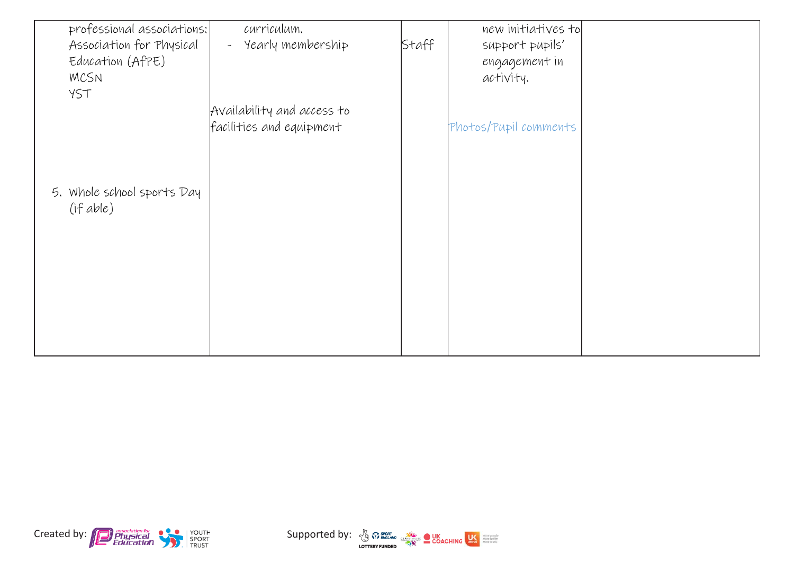| professional associations: | curriculum.                   |       | new initiatives to    |  |
|----------------------------|-------------------------------|-------|-----------------------|--|
| Association for Physical   | Yearly membership<br>$\omega$ | Staff | support pupils'       |  |
| Education (AfPE)           |                               |       | engagement in         |  |
| <b>MCSN</b>                |                               |       | activity.             |  |
| YST                        |                               |       |                       |  |
|                            | Availability and access to    |       |                       |  |
|                            | facilities and equipment      |       | Photos/Pupil comments |  |
|                            |                               |       |                       |  |
|                            |                               |       |                       |  |
|                            |                               |       |                       |  |
| 5. Whole school sports Day |                               |       |                       |  |
| (ifable)                   |                               |       |                       |  |
|                            |                               |       |                       |  |
|                            |                               |       |                       |  |
|                            |                               |       |                       |  |
|                            |                               |       |                       |  |
|                            |                               |       |                       |  |
|                            |                               |       |                       |  |
|                            |                               |       |                       |  |
|                            |                               |       |                       |  |
|                            |                               |       |                       |  |



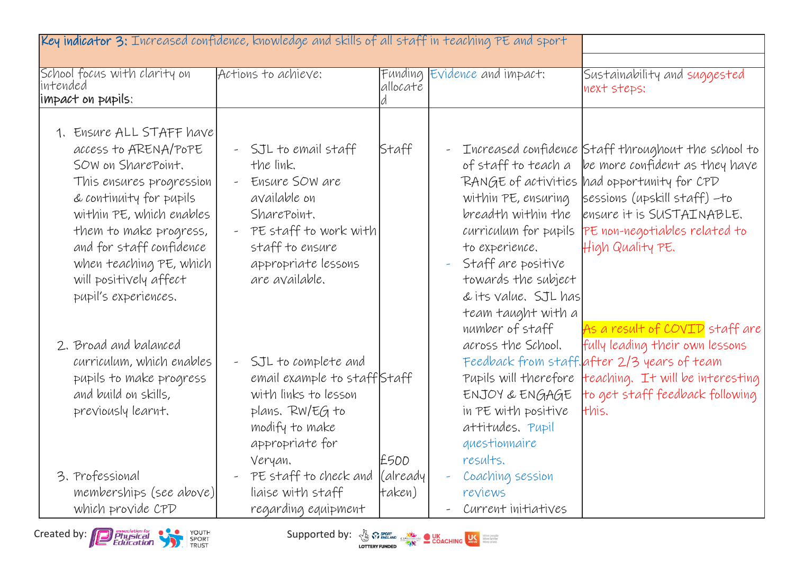| Key indicator 3: Increased confidence, knowledge and skills of all staff in teaching PE and sport                                                                                                                                                                                            |                                                                                                                                                                                                                  |                     |                                                                                                                                                                                                                           |                                                                                                                                                                                                                                                                                          |
|----------------------------------------------------------------------------------------------------------------------------------------------------------------------------------------------------------------------------------------------------------------------------------------------|------------------------------------------------------------------------------------------------------------------------------------------------------------------------------------------------------------------|---------------------|---------------------------------------------------------------------------------------------------------------------------------------------------------------------------------------------------------------------------|------------------------------------------------------------------------------------------------------------------------------------------------------------------------------------------------------------------------------------------------------------------------------------------|
| School focus with clarity on<br>lintended<br>limpact on pupils:                                                                                                                                                                                                                              | Actions to achieve:                                                                                                                                                                                              | allocaté            | Funding Evidence and impact:                                                                                                                                                                                              | Sustainability and suggested<br>next steps:                                                                                                                                                                                                                                              |
| 1. Ensure ALL STAFF have<br>access to ARENA/POPE<br>SOW on SharePoint.<br>This ensures progression<br>& continuity for pupils<br>within PE, which enables<br>them to make progress,<br>and for staff confidence<br>when teaching PE, which<br>will positively affect<br>pupil's experiences. | SJL to email staff<br>the link.<br>Ensure SOW are<br>$\omega_{\rm c}$<br>available on<br>SharePoint,<br>PE staff to work with<br>$\omega_{\rm{max}}$<br>staff to ensure<br>appropriate lessons<br>are available. | Staff               | of staff to teach a<br>within PE, ensuring<br>breadth within the<br>curriculum for pupils<br>to experience.<br>Staff are positive<br>towards the subject<br>& its value. SJL has<br>team taught with a<br>number of staff | Increased confidence Staff throughout the school to<br>be more confident as they have<br>RANGE of activities had opportunity for CPD<br>sessions (upskill staff) -to<br>ensure it is SUSTAINABLE.<br>PE non-negotiables related to<br>High Quality PE.<br>As a result of COVID staff are |
| 2. Broad and balanced<br>curriculum, which enables<br>pupils to make progress<br>and build on skills,<br>previously learnt.                                                                                                                                                                  | SJL to complete and<br>$\omega_{\rm c}$<br>email example to staffStaff<br>with links to lesson<br>plans. RW/EG to<br>modify to make<br>appropriate for<br>Veryan.                                                | £500                | across the School.<br>ENJOY & ENGAGE<br>in PE with positive<br>attitudes. Pupil<br>questionnaire<br>results.                                                                                                              | fully leading their own lessons<br>Feedback from staff. after 2/3 years of team<br>Pupils will therefore teaching. It will be interesting<br>to get staff feedback following<br>this.                                                                                                    |
| 3. Professional<br>memberships (see above)<br>which provide CPD                                                                                                                                                                                                                              | PE staff to check and<br>$\overline{\phantom{a}}$<br>liaise with staff<br>regarding equipment                                                                                                                    | (already)<br>taken) | Coaching session<br>reviews<br>Current initiatives<br>$\overline{\phantom{0}}$                                                                                                                                            |                                                                                                                                                                                                                                                                                          |

Created by: Physical Physical Supported by:  $\frac{1}{2}$  Sextern Bucker Concretion Concretion Concretion Supported by:  $\frac{1}{2}$  Sextern Concretion CON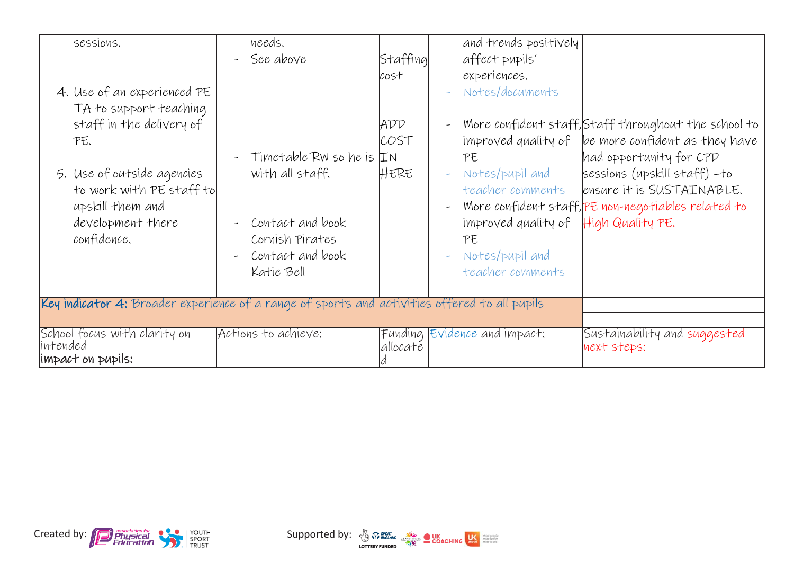| sessions.<br>4. Use of an experienced PE<br>TA to support teaching<br>staff in the delivery of<br>PE.<br>5. Use of outside agencies<br>to work with PE staff to<br>upskill them and<br>development there<br>confidence. | needs.<br>See above<br>$Timetable$ RW so he is $IN$<br>with all staff.<br>Contact and book<br>Cornish Pirates<br>Contact and book<br>Katie Bell | Staffing<br>cost<br>ADD<br>COST<br>HERE | and trends positively<br>affect pupils'<br>experiences.<br>Notes/documents<br>PE<br>Notes/pupil and<br>teacher comments<br>improved quality of $\mathbb{H}$ igh Quality PE.<br>PE<br>Notes/pupil and<br>teacher comments | Wore confident staff, Staff throughout the school to<br>improved quality of $\ $ be more confident as they have<br>had opportunity for CPD<br>sessions (upskill staff) -to<br>ensure it is SUSTAINABLE.<br>Wore confident staff, PE non-negotiables related to |
|-------------------------------------------------------------------------------------------------------------------------------------------------------------------------------------------------------------------------|-------------------------------------------------------------------------------------------------------------------------------------------------|-----------------------------------------|--------------------------------------------------------------------------------------------------------------------------------------------------------------------------------------------------------------------------|----------------------------------------------------------------------------------------------------------------------------------------------------------------------------------------------------------------------------------------------------------------|
| Key indicator 4: Broader experience of a range of sports and activities offered to all pupils                                                                                                                           |                                                                                                                                                 |                                         |                                                                                                                                                                                                                          |                                                                                                                                                                                                                                                                |
| School focus with clarity on<br>intended<br>impact on pupils:                                                                                                                                                           | Actions to achieve:                                                                                                                             | allocate                                | Funding Evidence and impact:                                                                                                                                                                                             | Sustainability and suggested<br>next steps:                                                                                                                                                                                                                    |



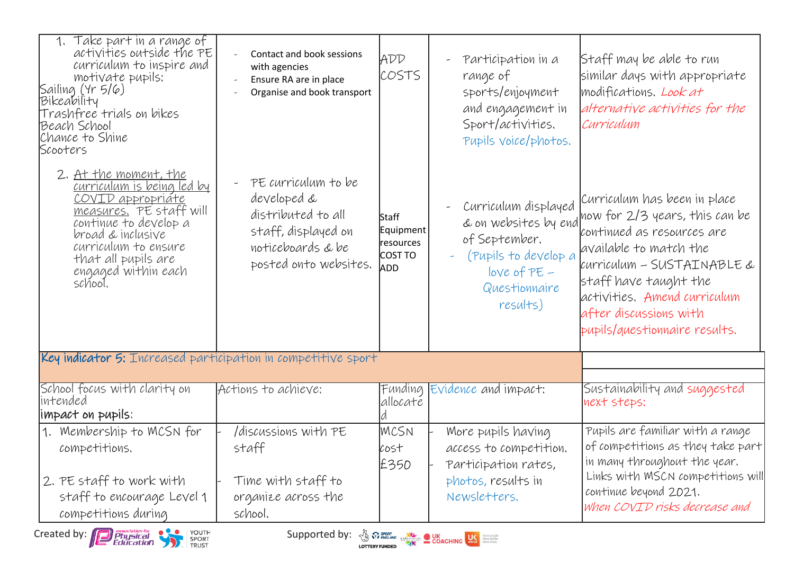| 1. Take part in a range of<br>activities outside the PE<br>curriculum to inspire and<br>motivate pupils:<br>Sailing (Yr 5/6)<br>Bikeability<br>Trashfree trials on bikes<br>Beach School<br>Chance to Shine<br>Scooters                   | Contact and book sessions<br>with agencies<br>Ensure RA are in place<br>Organise and book transport                                         | ADD<br>COSTS                                      | Participation in a<br>range of<br>sports/enjoyment<br>and engagement in<br>Sport/activities.<br>Pupils voice/photos.                                                                                                                 | Staff may be able to run<br>similar days with appropriate<br>modifications. Look at<br>alternative activities for the<br>Curriculum                                                                                                                                                           |
|-------------------------------------------------------------------------------------------------------------------------------------------------------------------------------------------------------------------------------------------|---------------------------------------------------------------------------------------------------------------------------------------------|---------------------------------------------------|--------------------------------------------------------------------------------------------------------------------------------------------------------------------------------------------------------------------------------------|-----------------------------------------------------------------------------------------------------------------------------------------------------------------------------------------------------------------------------------------------------------------------------------------------|
| 2. At the moment, the<br><u>curriculum is being led by</u><br>COVID appropriáte<br>measures. PE staff will<br>continue to develop a<br>broad & inclusive<br>curriculum to ensure<br>that all pupils are<br>engaged within each<br>school. | PE curriculum to be<br>$\omega$ .<br>developed &<br>distributed to all<br>staff, displayed on<br>noticeboards & be<br>posted onto websites. | Staff<br>Equipment<br>resources<br>COST TO<br>ADD | Curriculum displayed<br>of September.<br>(Pupils to develop a<br>$loVe$ of $PE-$<br>Questionnaire<br>results)                                                                                                                        | Curriculum has been in place<br>& on websites by end now for 2/3 years, this can be<br>continued as resources are<br>available to match the<br>curriculum - SUSTAINABLE &<br>staff have taught the<br>activities. Amend curriculum<br>after discussions with<br>pupils/questionnaire results. |
| Key indicator 5: Increased participation in competitive sport                                                                                                                                                                             |                                                                                                                                             |                                                   |                                                                                                                                                                                                                                      |                                                                                                                                                                                                                                                                                               |
| School focus with clarity on<br>intended<br>limpact on pupils:                                                                                                                                                                            | Actions to achieve:                                                                                                                         | Funding<br>allocaté                               | Evidence and impact:                                                                                                                                                                                                                 | Sustainability and suggested<br>next steps:                                                                                                                                                                                                                                                   |
| 1. Membership to MCSN for<br>competitions.                                                                                                                                                                                                | /discussions with PE<br>staff                                                                                                               | MCSN<br>cost<br>£350                              | More pupils having<br>access to competition.<br>Participation rates,                                                                                                                                                                 | Pupils are familiar with a range<br>of competitions as they take part<br>in many throughout the year.                                                                                                                                                                                         |
| 2. PE staff to work with<br>staff to encourage Level 1<br>competitions during                                                                                                                                                             | Time with staff to<br>organize across the<br>school.                                                                                        |                                                   | photos, results in<br>Newsletters.                                                                                                                                                                                                   | Links with MSCN competitions will<br>continue beyond 2021.<br>When COVID risks decrease and                                                                                                                                                                                                   |
| YOUTH<br>SPORT<br>TRUST<br>Created by: <b>D</b> <i>Physical</i><br>Education                                                                                                                                                              | Supported by:                                                                                                                               |                                                   | <b>A SPORT CONCHING MANY SERVICE OF A SERVICE SERVICE CONCHING SERVICE SERVICE SERVICE SERVICE SERVICE SERVICE SERVICE SERVICE SERVICE SERVICE SERVICE SERVICE SERVICE SERVICE SERVICE SERVICE SERVICE SERVICE SERVICE SERVICE S</b> |                                                                                                                                                                                                                                                                                               |